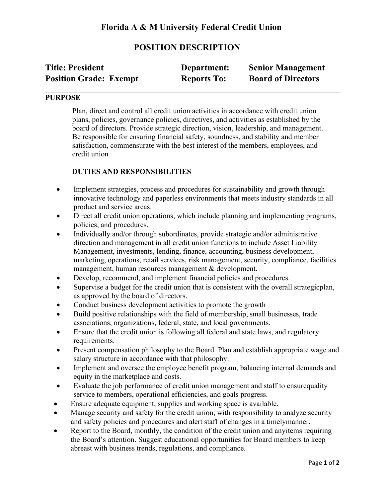# **POSITION DESCRIPTION**

| <b>Title: President</b>       | Department:        | <b>Senior Management</b>  |
|-------------------------------|--------------------|---------------------------|
| <b>Position Grade: Exempt</b> | <b>Reports To:</b> | <b>Board of Directors</b> |

### **PURPOSE**

Plan, direct and control all credit union activities in accordance with credit union plans, policies, governance policies, directives, and activities as established by the board of directors. Provide strategic direction, vision, leadership, and management. Be responsible for ensuring financial safety, soundness, and stability and member satisfaction, commensurate with the best interest of the members, employees, and credit union

## **DUTIES AND RESPONSIBILITIES**

- Implement strategies, process and procedures for sustainability and growth through innovative technology and paperless environments that meets industry standards in all product and service areas.
- Direct all credit union operations, which include planning and implementing programs, policies, and procedures.
- Individually and/or through subordinates, provide strategic and/or administrative direction and management in all credit union functions to include Asset Liability Management, investments, lending, finance, accounting, business development, marketing, operations, retail services, risk management, security, compliance, facilities management, human resources management & development.
- Develop, recommend, and implement financial policies and procedures.
- Supervise a budget for the credit union that is consistent with the overall strategicplan, as approved by the board of directors.
- Conduct business development activities to promote the growth
- Build positive relationships with the field of membership, small businesses, trade associations, organizations, federal, state, and local governments.
- Ensure that the credit union is following all federal and state laws, and regulatory requirements.
- Present compensation philosophy to the Board. Plan and establish appropriate wage and salary structure in accordance with that philosophy.
- Implement and oversee the employee benefit program, balancing internal demands and equity in the marketplace and costs.
- Evaluate the job performance of credit union management and staff to ensurequality service to members, operational efficiencies, and goals progress.
- Ensure adequate equipment, supplies and working space is available.
- Manage security and safety for the credit union, with responsibility to analyze security and safety policies and procedures and alert staff of changes in a timelymanner.
- Report to the Board, monthly, the condition of the credit union and any items requiring the Board's attention. Suggest educational opportunities for Board members to keep abreast with business trends, regulations, and compliance.